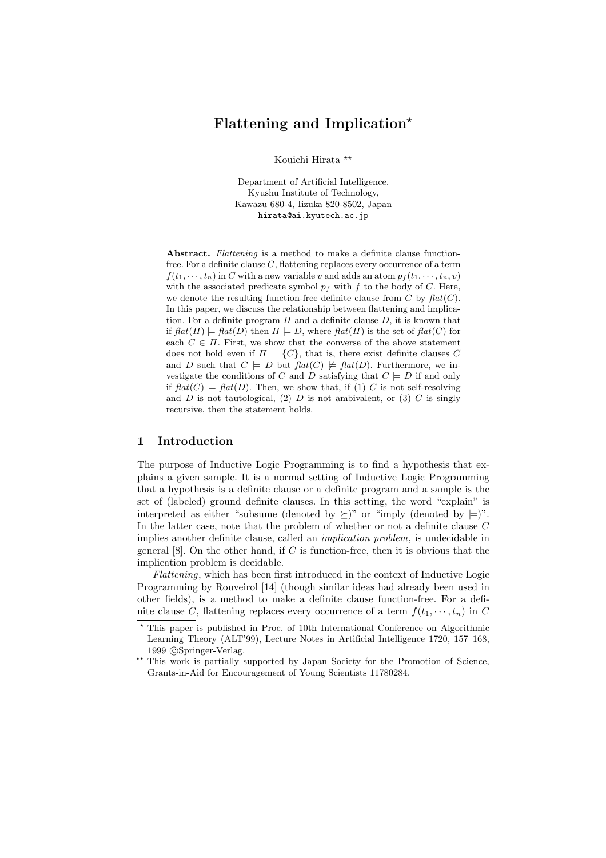# **Flattening and Implication**

Kouichi Hirata

Department of Artificial Intelligence, Kyushu Institute of Technology, Kawazu 680-4, Iizuka 820-8502, Japan hirata@ai.kyutech.ac.jp

**Abstract.** *Flattening* is a method to make a definite clause functionfree. For a definite clause  $C$ , flattening replaces every occurrence of a term  $f(t_1, \dots, t_n)$  in C with a new variable v and adds an atom  $p_f(t_1, \dots, t_n, v)$ with the associated predicate symbol  $p_f$  with f to the body of C. Here, we denote the resulting function-free definite clause from  $C$  by  $flat(C)$ . In this paper, we discuss the relationship between flattening and implication. For a definite program  $\Pi$  and a definite clause  $D$ , it is known that if  $\text{flat}(\Pi) \models \text{flat}(D)$  then  $\Pi \models D$ , where  $\text{flat}(\Pi)$  is the set of  $\text{flat}(C)$  for each  $C \in \Pi$ . First, we show that the converse of the above statement does not hold even if  $\Pi = \{C\}$ , that is, there exist definite clauses C and D such that  $C \models D$  but  $\text{flat}(C) \not\models \text{flat}(D)$ . Furthermore, we investigate the conditions of C and D satisfying that  $C \models D$  if and only if  $\text{flat}(C) \models \text{flat}(D)$ . Then, we show that, if (1) C is not self-resolving and  $D$  is not tautological, (2)  $D$  is not ambivalent, or (3)  $C$  is singly recursive, then the statement holds.

# **1 Introduction**

The purpose of Inductive Logic Programming is to find a hypothesis that explains a given sample. It is a normal setting of Inductive Logic Programming that a hypothesis is a definite clause or a definite program and a sample is the set of (labeled) ground definite clauses. In this setting, the word "explain" is interpreted as either "subsume (denoted by  $\succeq$ )" or "imply (denoted by  $\models$ )". In the latter case, note that the problem of whether or not a definite clause C implies another definite clause, called an *implication problem*, is undecidable in general  $[8]$ . On the other hand, if C is function-free, then it is obvious that the implication problem is decidable.

*Flattening*, which has been first introduced in the context of Inductive Logic Programming by Rouveirol [14] (though similar ideas had already been used in other fields), is a method to make a definite clause function-free. For a definite clause C, flattening replaces every occurrence of a term  $f(t_1, \dots, t_n)$  in C

 $^{\star}$  This paper is published in Proc. of 10th International Conference on Algorithmic Learning Theory (ALT'99), Lecture Notes in Artificial Intelligence 1720, 157–168, 1999 © Springer-Verlag.

<sup>\*\*</sup> This work is partially supported by Japan Society for the Promotion of Science, Grants-in-Aid for Encouragement of Young Scientists 11780284.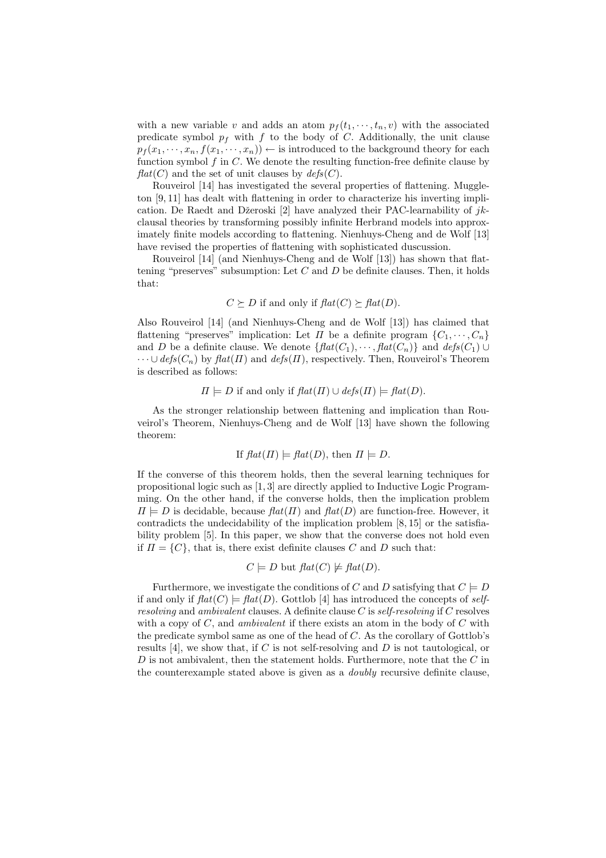with a new variable v and adds an atom  $p_f(t_1, \dots, t_n, v)$  with the associated predicate symbol  $p_f$  with f to the body of C. Additionally, the unit clause  $p_f(x_1, \dots, x_n, f(x_1, \dots, x_n)) \leftarrow$  is introduced to the background theory for each function symbol  $f$  in  $C$ . We denote the resulting function-free definite clause by  $flat(C)$  and the set of unit clauses by  $defs(C)$ .

Rouveirol [14] has investigated the several properties of flattening. Muggleton [9, 11] has dealt with flattening in order to characterize his inverting implication. De Raedt and Džeroski [2] have analyzed their PAC-learnability of  $jk$ clausal theories by transforming possibly infinite Herbrand models into approximately finite models according to flattening. Nienhuys-Cheng and de Wolf [13] have revised the properties of flattening with sophisticated duscussion.

Rouveirol [14] (and Nienhuys-Cheng and de Wolf [13]) has shown that flattening "preserves" subsumption: Let  $C$  and  $D$  be definite clauses. Then, it holds that:

 $C \succeq D$  if and only if  $flat(C) \succeq flat(D)$ .

Also Rouveirol  $[14]$  (and Nienhuys-Cheng and de Wolf  $[13]$ ) has claimed that flattening "preserves" implication: Let  $\Pi$  be a definite program  $\{C_1, \dots, C_n\}$ and D be a definite clause. We denote  $\{ \text{flat}(C_1), \cdots, \text{flat}(C_n) \}$  and  $\text{defs}(C_1) \cup$  $\cdots \cup$  *defs*( $C_n$ ) by  $\text{flat}(\Pi)$  and  $\text{defs}(\Pi)$ , respectively. Then, Rouveirol's Theorem is described as follows:

$$
\Pi \models D
$$
 if and only if  $flat(\Pi) \cup defs(\Pi) \models flat(D)$ .

As the stronger relationship between flattening and implication than Rouveirol's Theorem, Nienhuys-Cheng and de Wolf [13] have shown the following theorem:

If 
$$
flat(\Pi) \models flat(D)
$$
, then  $\Pi \models D$ .

If the converse of this theorem holds, then the several learning techniques for propositional logic such as [1, 3] are directly applied to Inductive Logic Programming. On the other hand, if the converse holds, then the implication problem  $\Pi = D$  is decidable, because  $flat(\Pi)$  and  $flat(D)$  are function-free. However, it contradicts the undecidability of the implication problem [8, 15] or the satisfiability problem [5]. In this paper, we show that the converse does not hold even if  $\Pi = \{C\}$ , that is, there exist definite clauses C and D such that:

$$
C \models D
$$
 but  $flat(C) \not\models flat(D)$ .

Furthermore, we investigate the conditions of C and D satisfying that  $C \models D$ if and only if  $\text{flat}(C) \models \text{flat}(D)$ . Gottlob [4] has introduced the concepts of *selfresolving* and *ambivalent* clauses. A definite clause C is *self-resolving* if C resolves with a copy of C, and *ambivalent* if there exists an atom in the body of C with the predicate symbol same as one of the head of C. As the corollary of Gottlob's results [4], we show that, if C is not self-resolving and D is not tautological, or  $D$  is not ambivalent, then the statement holds. Furthermore, note that the  $C$  in the counterexample stated above is given as a *doubly* recursive definite clause,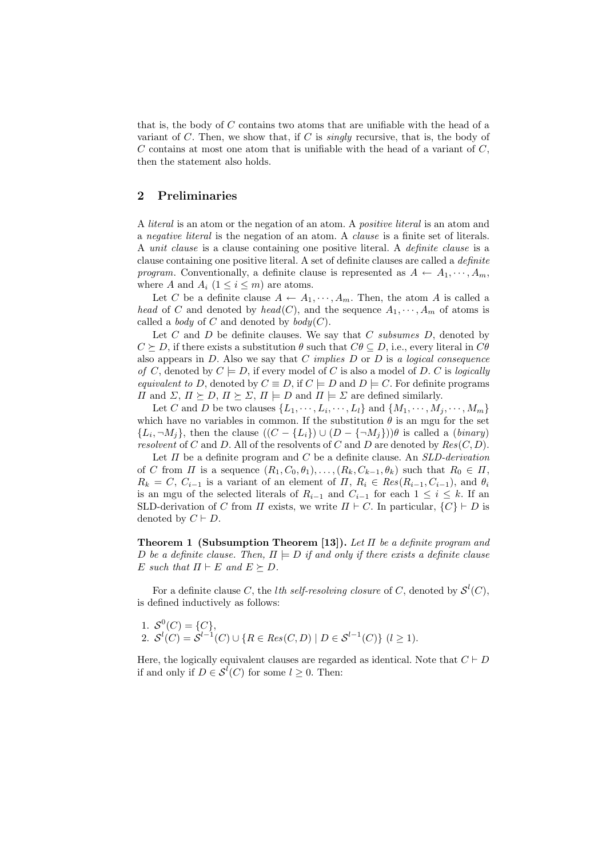that is, the body of  $C$  contains two atoms that are unifiable with the head of a variant of C. Then, we show that, if C is *singly* recursive, that is, the body of  $C$  contains at most one atom that is unifiable with the head of a variant of  $C$ , then the statement also holds.

### **2 Preliminaries**

A *literal* is an atom or the negation of an atom. A *positive literal* is an atom and a *negative literal* is the negation of an atom. A *clause* is a finite set of literals. A *unit clause* is a clause containing one positive literal. A *definite clause* is a clause containing one positive literal. A set of definite clauses are called a *definite program*. Conventionally, a definite clause is represented as  $A \leftarrow A_1, \cdots, A_m$ , where A and  $A_i$   $(1 \leq i \leq m)$  are atoms.

Let C be a definite clause  $A \leftarrow A_1, \dots, A_m$ . Then, the atom A is called a *head* of C and denoted by *head*(C), and the sequence  $A_1, \dots, A_m$  of atoms is called a *body* of C and denoted by  $\text{body}(C)$ .

Let C and D be definite clauses. We say that C *subsumes* D, denoted by  $C \succeq D$ , if there exists a substitution  $\theta$  such that  $C\theta \subseteq D$ , i.e., every literal in  $C\theta$ also appears in D. Also we say that C *implies* D or D is *a logical consequence of* C, denoted by  $C \models D$ , if every model of C is also a model of D. C is *logically equivalent to* D, denoted by  $C \equiv D$ , if  $C \models D$  and  $D \models C$ . For definite programs  $\Pi$  and  $\Sigma$ ,  $\Pi \succeq D$ ,  $\Pi \succeq \Sigma$ ,  $\Pi \models D$  and  $\Pi \models \Sigma$  are defined similarly.

Let C and D be two clauses  $\{L_1, \dots, L_i, \dots, L_l\}$  and  $\{M_1, \dots, M_j, \dots, M_m\}$ which have no variables in common. If the substitution  $\theta$  is an mgu for the set  ${L_i, \neg M_i}$ , then the clause  $((C - {L_i}) \cup (D - {\neg M_j}))\theta$  is called a *(binary) resolvent* of C and D. All of the resolvents of C and D are denoted by  $Res(C, D)$ .

Let Π be a definite program and C be a definite clause. An *SLD-derivation* of C from  $\Pi$  is a sequence  $(R_1, C_0, \theta_1), \ldots, (R_k, C_{k-1}, \theta_k)$  such that  $R_0 \in \Pi$ ,  $R_k = C, C_{i-1}$  is a variant of an element of  $\Pi, R_i \in Res(R_{i-1}, C_{i-1}),$  and  $\theta_i$ is an mgu of the selected literals of  $R_{i-1}$  and  $C_{i-1}$  for each  $1 \leq i \leq k$ . If an SLD-derivation of C from  $\Pi$  exists, we write  $\Pi \vdash C$ . In particular,  $\{C\} \vdash D$  is denoted by  $C \vdash D$ .

**Theorem 1 (Subsumption Theorem [13]).** *Let* Π *be a definite program and* D be a definite clause. Then,  $\Pi \models D$  if and only if there exists a definite clause E such that  $\Pi \vdash E$  and  $E \succeq D$ .

For a definite clause C, the *l*th self-resolving closure of C, denoted by  $\mathcal{S}^l(C)$ , is defined inductively as follows:

1. 
$$
S^0(C) = \{C\},
$$
  
2.  $S^l(C) = S^{l-1}(C) \cup \{R \in Res(C, D) \mid D \in S^{l-1}(C)\} \ (l \ge 1).$ 

Here, the logically equivalent clauses are regarded as identical. Note that  $C \vdash D$ if and only if  $D \in \mathcal{S}^{l}(C)$  for some  $l \geq 0$ . Then: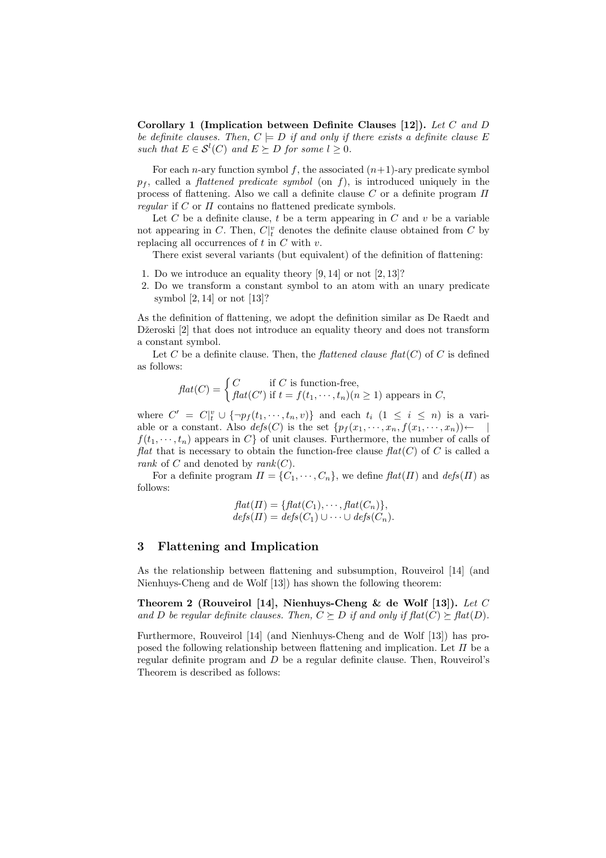**Corollary 1 (Implication between Definite Clauses [12]).** *Let* C *and* D *be definite clauses. Then,*  $C \models D$  *if and only if there exists a definite clause* E *such that*  $E \in S^l(C)$  *and*  $E \succeq D$  *for some*  $l \geq 0$ *.* 

For each *n*-ary function symbol f, the associated  $(n+1)$ -ary predicate symbol  $p_f$ , called a *flattened predicate symbol* (on f), is introduced uniquely in the process of flattening. Also we call a definite clause  $C$  or a definite program  $\Pi$ *regular* if C or Π contains no flattened predicate symbols.

Let  $C$  be a definite clause,  $t$  be a term appearing in  $C$  and  $v$  be a variable not appearing in C. Then,  $C|_t^v$  denotes the definite clause obtained from C by replacing all occurrences of  $t$  in  $C$  with  $v$ .

There exist several variants (but equivalent) of the definition of flattening:

- 1. Do we introduce an equality theory [9, 14] or not [2, 13]?
- 2. Do we transform a constant symbol to an atom with an unary predicate symbol [2, 14] or not [13]?

As the definition of flattening, we adopt the definition similar as De Raedt and Džeroski [2] that does not introduce an equality theory and does not transform a constant symbol.

Let C be a definite clause. Then, the *flattened clause flat*  $(C)$  of C is defined as follows:

$$
flat(C) = \begin{cases} C & \text{if } C \text{ is function-free,} \\ flat(C') & \text{if } t = f(t_1, \dots, t_n)(n \ge 1) \text{ appears in } C, \end{cases}
$$

where  $C' = C|_{t}^{v} \cup \{\neg p_{f}(t_{1}, \dots, t_{n}, v)\}\$  and each  $t_{i}$   $(1 \leq i \leq n)$  is a variable or a constant. Also  $\text{defs}(C)$  is the set  $\{p_f(x_1, \dots, x_n, f(x_1, \dots, x_n))\right$  ←  $f(t_1, \dots, t_n)$  appears in C of unit clauses. Furthermore, the number of calls of *flat* that is necessary to obtain the function-free clause  $flat(C)$  of C is called a *rank* of C and denoted by *rank*(C).

For a definite program  $\Pi = \{C_1, \dots, C_n\}$ , we define  $\text{flat}(\Pi)$  and  $\text{defs}(\Pi)$  as follows:

$$
flat(\Pi) = \{ flat(C_1), \cdots, flat(C_n) \},
$$
  

$$
defs(\Pi) = defs(C_1) \cup \cdots \cup defs(C_n).
$$

#### **3 Flattening and Implication**

As the relationship between flattening and subsumption, Rouveirol [14] (and Nienhuys-Cheng and de Wolf [13]) has shown the following theorem:

**Theorem 2 (Rouveirol [14], Nienhuys-Cheng & de Wolf [13]).** *Let* C *and D be regular definite clauses. Then,*  $C \succeq D$  *if and only if flat*( $C$ )  $\succeq$  *flat*( $D$ )*.* 

Furthermore, Rouveirol [14] (and Nienhuys-Cheng and de Wolf [13]) has proposed the following relationship between flattening and implication. Let  $\Pi$  be a regular definite program and D be a regular definite clause. Then, Rouveirol's Theorem is described as follows: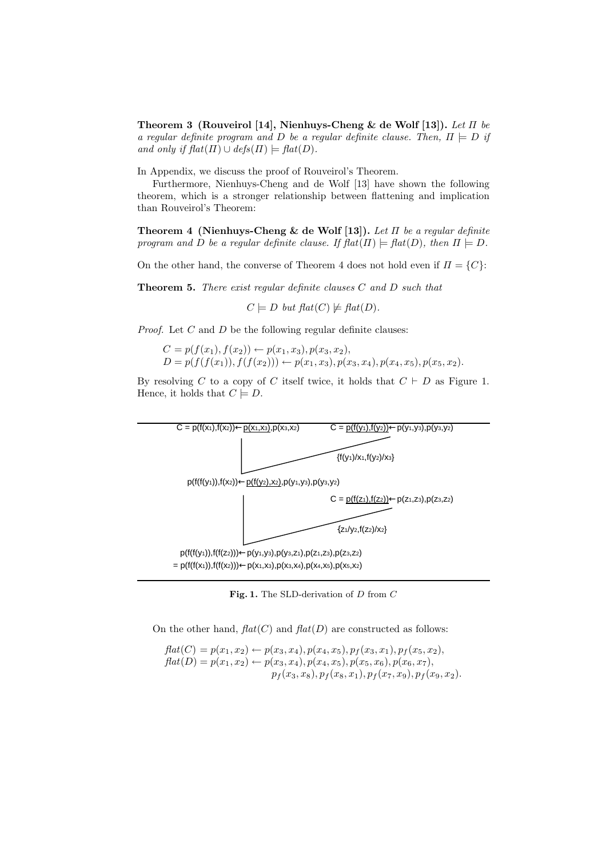**Theorem 3 (Rouveirol [14], Nienhuys-Cheng & de Wolf [13]).** *Let* Π *be a regular definite program and* D *be a regular definite clause. Then,*  $\Pi \models D$  *if and only if*  $\text{flat}(\Pi) \cup \text{defs}(\Pi) \models \text{flat}(D)$ *.* 

In Appendix, we discuss the proof of Rouveirol's Theorem.

Furthermore, Nienhuys-Cheng and de Wolf [13] have shown the following theorem, which is a stronger relationship between flattening and implication than Rouveirol's Theorem:

**Theorem 4 (Nienhuys-Cheng & de Wolf [13]).** *Let* Π *be a regular definite program and* D *be a regular definite clause. If*  $\text{flat}(\Pi) \models \text{flat}(D)$ *, then*  $\Pi \models D$ .

On the other hand, the converse of Theorem 4 does not hold even if  $\Pi = \{C\}$ :

**Theorem 5.** *There exist regular definite clauses* C *and* D *such that*

 $C \models D$  *but flat*(C)  $\nvdash$  *flat*(D).

*Proof.* Let C and D be the following regular definite clauses:

$$
C = p(f(x_1), f(x_2)) \leftarrow p(x_1, x_3), p(x_3, x_2),
$$
  
\n
$$
D = p(f(f(x_1)), f(f(x_2))) \leftarrow p(x_1, x_3), p(x_3, x_4), p(x_4, x_5), p(x_5, x_2).
$$

By resolving C to a copy of C itself twice, it holds that  $C \vdash D$  as Figure 1. Hence, it holds that  $C \models D$ .



Fig. 1. The SLD-derivation of D from C

On the other hand,  $flat(C)$  and  $flat(D)$  are constructed as follows:

$$
flat(C) = p(x_1, x_2) \leftarrow p(x_3, x_4), p(x_4, x_5), p_f(x_3, x_1), p_f(x_5, x_2),
$$
  
\n
$$
flat(D) = p(x_1, x_2) \leftarrow p(x_3, x_4), p(x_4, x_5), p(x_5, x_6), p(x_6, x_7),
$$
  
\n
$$
p_f(x_3, x_8), p_f(x_8, x_1), p_f(x_7, x_9), p_f(x_9, x_2).
$$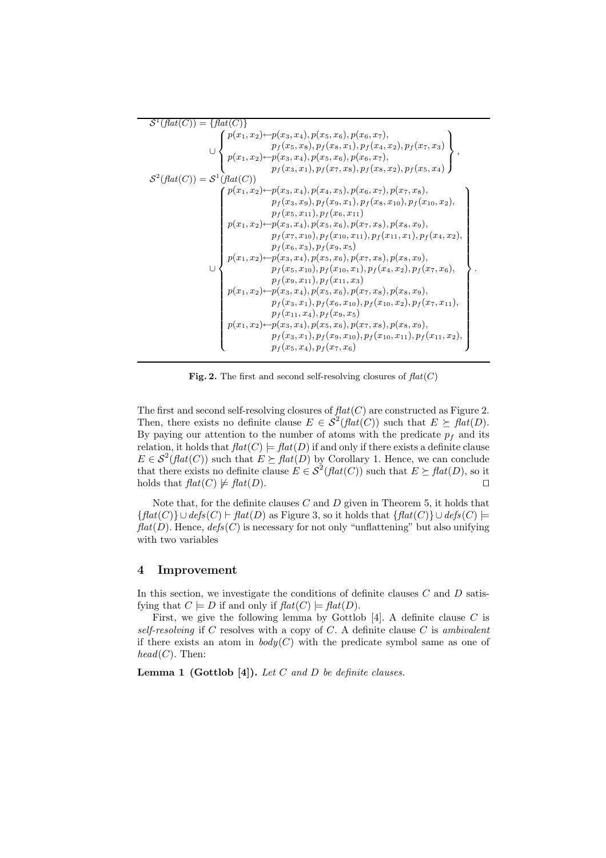```
\mathcal{S}^1(flat(C)) = \{ flat(C) \}∪
                \sqrt{ }\int\overline{a}p(x_1, x_2) \leftarrow p(x_3, x_4), p(x_5, x_6), p(x_6, x_7),p_f(x_5, x_8), p_f(x_8, x_1), p_f(x_4, x_2), p_f(x_7, x_3)p(x_1, x_2) \leftarrow p(x_3, x_4), p(x_5, x_6), p(x_6, x_7),p_f(x_3, x_1), p_f(x_7, x_8), p_f(x_8, x_2), p_f(x_5, x_4)\mathcal{L}\overline{\mathcal{L}}\left\{ \right.S^2(flat(C)) = S^1(flat(C))∪
                \int p(x_1, x_2) \leftarrow p(x_3, x_4), p(x_4, x_5), p(x_6, x_7), p(x_7, x_8),\begin{array}{c} \hline \end{array}\begin{array}{c} \hline \rule{0pt}{2.2ex} \\ \rule{0pt}{2.2ex} \end{array}p_f(x_3, x_9), p_f(x_9, x_1), p_f(x_8, x_{10}), p_f(x_{10}, x_2),p_f(x_5, x_{11}), p_f(x_6, x_{11})p(x_1, x_2) \leftarrow p(x_3, x_4), p(x_5, x_6), p(x_7, x_8), p(x_8, x_9),p_f(x_7, x_{10}), p_f(x_{10}, x_{11}), p_f(x_{11}, x_1), p_f(x_4, x_2),p_f (x_6, x_3), p_f (x_9, x_5)p(x_1, x_2) \leftarrow p(x_3, x_4), p(x_5, x_6), p(x_7, x_8), p(x_8, x_9),p_f(x_5, x_{10}), p_f(x_{10}, x_1), p_f(x_4, x_2), p_f(x_7, x_6),p_f(x_9, x_{11}), p_f(x_{11}, x_3)p(x_1, x_2) \leftarrow p(x_3, x_4), p(x_5, x_6), p(x_7, x_8), p(x_8, x_9),p_f (x_3, x_1), p_f (x_6, x_{10}), p_f (x_{10}, x_2), p_f (x_7, x_{11}),p_f (x_{11}, x_4), p_f (x_9, x_5)p(x_1, x_2) \leftarrow p(x_3, x_4), p(x_5, x_6), p(x_7, x_8), p(x_8, x_9),p_f (x_3, x_1), p_f (x_9, x_{10}), p_f (x_{10}, x_{11}), p_f (x_{11}, x_2),p_f(x_5, x_4), p_f(x_7, x_6)\mathcal{L}\overline{\phantom{a}}\begin{array}{c} \hline \end{array}.
```
**Fig. 2.** The first and second self-resolving closures of  $flat(C)$ 

The first and second self-resolving closures of  $flat(C)$  are constructed as Figure 2. Then, there exists no definite clause  $E \in \mathcal{S}^2(\hat{f}(\hat{f}(\mathcal{C}))$  such that  $E \succ \hat{f}(\hat{f}(\mathcal{D})).$ By paying our attention to the number of atoms with the predicate  $p_f$  and its relation, it holds that  $flat(C) \models flat(D)$  if and only if there exists a definite clause  $E \in \mathcal{S}^2(\text{flat}(C))$  such that  $E \succeq \text{flat}(D)$  by Corollary 1. Hence, we can conclude that there exists no definite clause  $E \in \mathcal{S}^2(\text{flat}(C))$  such that  $E \succeq \text{flat}(D)$ , so it holds that  $\text{flat}(C) \not\models \text{flat}(D)$ .

Note that, for the definite clauses  $C$  and  $D$  given in Theorem 5, it holds that  ${flat(C)} \cup def_s(C) \vdash flat(D)$  as Figure 3, so it holds that  ${flat(C)} \cup def_s(C) \models$  $flat(D)$ . Hence,  $defs(C)$  is necessary for not only "unflattening" but also unifying with two variables

### **4 Improvement**

In this section, we investigate the conditions of definite clauses  $C$  and  $D$  satisfying that  $C \models D$  if and only if  $flat(C) \models flat(D)$ .

First, we give the following lemma by Gottlob [4]. A definite clause  $C$  is *self-resolving* if C resolves with a copy of C. A definite clause C is *ambivalent* if there exists an atom in  $body(C)$  with the predicate symbol same as one of  $head(C)$ . Then:

**Lemma 1 (Gottlob [4]).** *Let* C *and* D *be definite clauses.*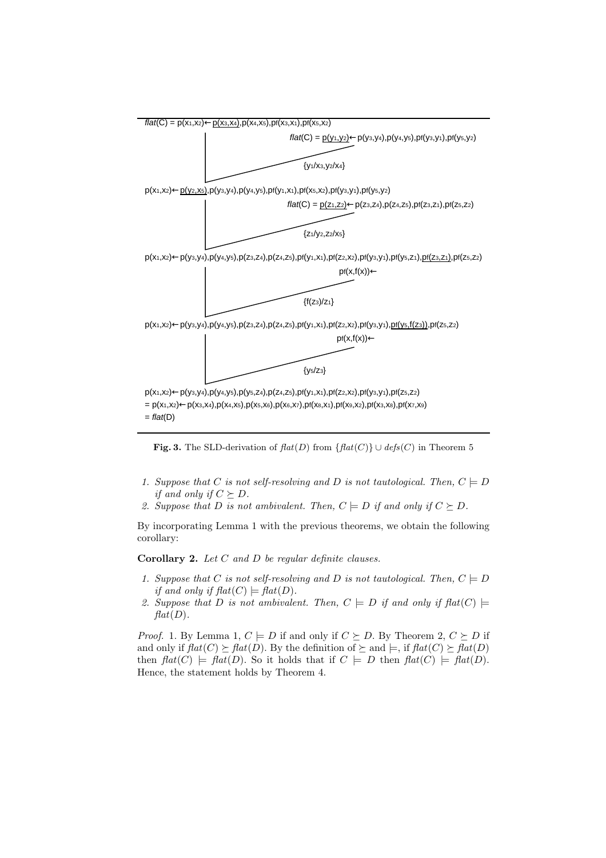

**Fig. 3.** The SLD-derivation of  $flat(D)$  from  $\{flat(C)\} \cup def_s(C)$  in Theorem 5

- *1. Suppose that* C *is not self-resolving and* D *is not tautological. Then,*  $C \models D$ *if and only if*  $C \succeq D$ *.*
- 2. Suppose that D is not ambivalent. Then,  $C \models D$  if and only if  $C \succeq D$ .

By incorporating Lemma 1 with the previous theorems, we obtain the following corollary:

**Corollary 2.** *Let* C *and* D *be regular definite clauses.*

- *1. Suppose that* C *is not self-resolving and* D *is not tautological. Then,*  $C \models D$ *if and only if*  $\text{flat}(C) \models \text{flat}(D)$ *.*
- 2. Suppose that D is not ambivalent. Then,  $C \models D$  if and only if  $flat(C) \models$  $flat(D)$ *.*

*Proof.* 1. By Lemma 1,  $C \models D$  if and only if  $C \succeq D$ . By Theorem 2,  $C \succeq D$  if and only if  $\text{flat}(C) \succ \text{flat}(D)$ . By the definition of  $\succ$  and  $\models$ , if  $\text{flat}(C) \succ \text{flat}(D)$ then  $flat(C) \models flat(D)$ . So it holds that if  $C \models D$  then  $flat(C) \models flat(D)$ . Hence, the statement holds by Theorem 4.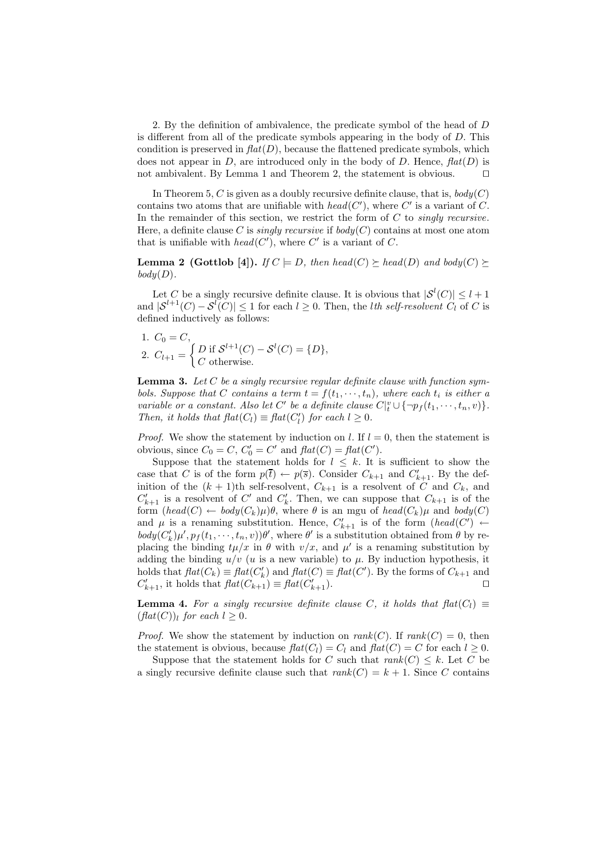2. By the definition of ambivalence, the predicate symbol of the head of D is different from all of the predicate symbols appearing in the body of D. This condition is preserved in  $flat(D)$ , because the flattened predicate symbols, which does not appear in  $D$ , are introduced only in the body of  $D$ . Hence,  $flat(D)$  is not ambivalent. By Lemma 1 and Theorem 2, the statement is obvious.

In Theorem 5,  $C$  is given as a doubly recursive definite clause, that is,  $body(C)$ contains two atoms that are unifiable with  $head(C')$ , where C' is a variant of C. In the remainder of this section, we restrict the form of C to *singly recursive*. Here, a definite clause C is *singly recursive* if  $body(C)$  contains at most one atom that is unifiable with  $head(C')$ , where C' is a variant of C.

**Lemma 2 (Gottlob [4]).** *If*  $C \models D$ *, then head*( $C$ )  $\succeq$  *head*( $D$ ) *and body*( $C$ )  $\succeq$  $body(D)$ .

Let C be a singly recursive definite clause. It is obvious that  $|S^l(C)| \leq l+1$ and  $|S^{l+1}(C) - S^{l}(C)| \leq 1$  for each  $l \geq 0$ . Then, the *lth self-resolvent*  $C_l$  of C is defined inductively as follows:

1. 
$$
C_0 = C
$$
,  
2.  $C_{l+1} = \begin{cases} D \text{ if } S^{l+1}(C) - S^l(C) = \{D\}, \\ C \text{ otherwise.} \end{cases}$ 

**Lemma 3.** *Let* C *be a singly recursive regular definite clause with function symbols. Suppose that* C *contains a term*  $t = f(t_1, \dots, t_n)$ *, where each*  $t_i$  *is either a variable or a constant. Also let*  $C'$  *be a definite clause*  $C|_t^v \cup {\n \{\neg p_f(t_1, \dots, t_n, v)\}.$ *Then, it holds that*  $\text{flat}(C_l) \equiv \text{flat}(C'_l)$  *for each*  $l \geq 0$ *.* 

*Proof.* We show the statement by induction on l. If  $l = 0$ , then the statement is obvious, since  $C_0 = C$ ,  $C'_0 = C'$  and  $flat(C) = flat(C')$ .

Suppose that the statement holds for  $l \leq k$ . It is sufficient to show the case that C is of the form  $p(\bar{t}) \leftarrow p(\bar{s})$ . Consider  $C_{k+1}$  and  $C'_{k+1}$ . By the definition of the  $(k + 1)$ th self-resolvent,  $C_{k+1}$  is a resolvent of C and  $C_k$ , and  $C'_{k+1}$  is a resolvent of C' and  $C'_{k}$ . Then, we can suppose that  $C_{k+1}$  is of the form  $(head(C) \leftarrow body(C_k)\mu)\theta$ , where  $\theta$  is an mgu of  $head(C_k)\mu$  and  $body(C)$ and  $\mu$  is a renaming substitution. Hence,  $C'_{k+1}$  is of the form  $(head(C') \leftarrow$  $body(C'_{k})\mu', p_{f}(t_{1}, \dots, t_{n}, v)\theta'$ , where  $\theta'$  is a substitution obtained from  $\theta$  by replacing the binding  $t\mu/x$  in  $\theta$  with  $v/x$ , and  $\mu'$  is a renaming substitution by adding the binding  $u/v$  (u is a new variable) to  $\mu$ . By induction hypothesis, it holds that  $flat(C_k) \equiv flat(C'_k)$  and  $flat(C) \equiv flat(C')$ . By the forms of  $C_{k+1}$  and  $C'_{k+1}$ , it holds that  $flat(C_{k+1}) \equiv flat(C'_{k+1})$ .

**Lemma 4.** For a singly recursive definite clause C, it holds that  $flat(C_l) \equiv$  $(flat(C))_l$  *for each*  $l \geq 0$ *.* 

*Proof.* We show the statement by induction on  $rank(C)$ . If  $rank(C) = 0$ , then the statement is obvious, because  $\text{flat}(C_l) = C_l$  and  $\text{flat}(C) = C$  for each  $l \geq 0$ .

Suppose that the statement holds for C such that  $rank(C) \leq k$ . Let C be a singly recursive definite clause such that  $rank(C) = k + 1$ . Since C contains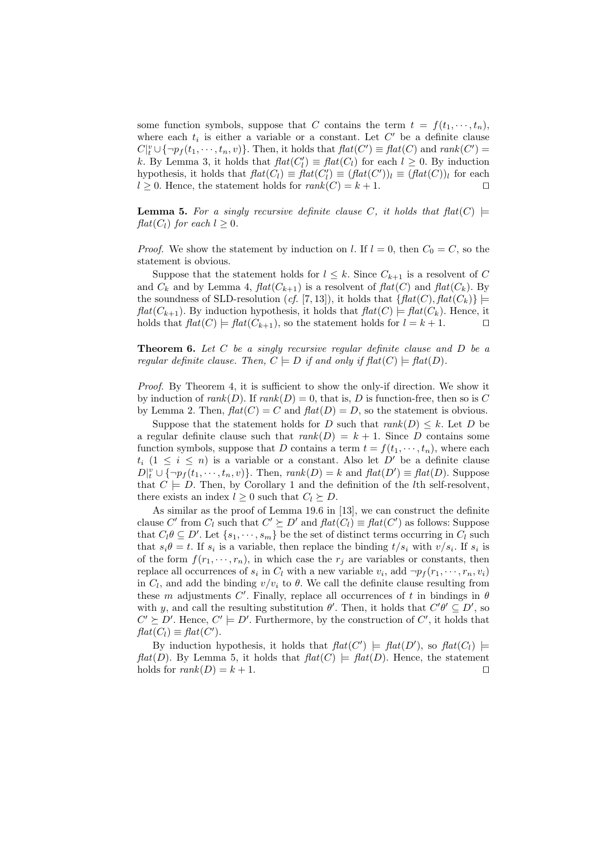some function symbols, suppose that C contains the term  $t = f(t_1, \dots, t_n)$ , where each  $t_i$  is either a variable or a constant. Let  $C'$  be a definite clause  $C|_t^v \cup {\neg p_f(t_1, \dots, t_n, v)}$ . Then, it holds that  $flat(C') \equiv flat(C)$  and  $rank(C') =$ k. By Lemma 3, it holds that  $\text{flat}(C_l') \equiv \text{flat}(C_l)$  for each  $l \geq 0$ . By induction hypothesis, it holds that  $flat(C_l) \equiv flat(C'_l) \equiv (flat(C'))_l \equiv (flat(C))_l$  for each  $l \geq 0$ . Hence, the statement holds for  $rank(C) = k + 1$ .

**Lemma 5.** For a singly recursive definite clause C, it holds that  $flat(C)$   $\models$ *flat*( $C_l$ ) *for each*  $l \geq 0$ *.* 

*Proof.* We show the statement by induction on l. If  $l = 0$ , then  $C_0 = C$ , so the statement is obvious.

Suppose that the statement holds for  $l \leq k$ . Since  $C_{k+1}$  is a resolvent of C and  $C_k$  and by Lemma 4,  $flat(C_{k+1})$  is a resolvent of  $flat(C)$  and  $flat(C_k)$ . By the soundness of SLD-resolution (*cf.* [7, 13]), it holds that  $\{ \text{flat}(C), \text{flat}(C_k) \}$   $\models$  $flat(C_{k+1})$ . By induction hypothesis, it holds that  $flat(C) \models flat(C_k)$ . Hence, it holds that  $flat(C) \models flat(C_{k+1}),$  so the statement holds for  $l = k+1$ .

**Theorem 6.** *Let* C *be a singly recursive regular definite clause and* D *be a regular definite clause. Then,*  $C \models D$  *if and only if*  $\text{flat}(C) \models \text{flat}(D)$ *.* 

*Proof.* By Theorem 4, it is sufficient to show the only-if direction. We show it by induction of  $rank(D)$ . If  $rank(D) = 0$ , that is, D is function-free, then so is C by Lemma 2. Then,  $flat(C) = C$  and  $flat(D) = D$ , so the statement is obvious.

Suppose that the statement holds for D such that  $rank(D) \leq k$ . Let D be a regular definite clause such that  $rank(D) = k + 1$ . Since D contains some function symbols, suppose that D contains a term  $t = f(t_1, \dots, t_n)$ , where each  $t_i$  ( $1 \leq i \leq n$ ) is a variable or a constant. Also let D' be a definite clause  $D_t^{\{v\}} \cup {\{\neg p_f(t_1, \dots, t_n, v)\}}$ . Then,  $rank(D) = k$  and  $flat(D') \equiv flat(D)$ . Suppose that  $C \models D$ . Then, by Corollary 1 and the definition of the *l*th self-resolvent, there exists an index  $l \geq 0$  such that  $C_l \succeq D$ .

As similar as the proof of Lemma 19.6 in [13], we can construct the definite clause C' from  $C_l$  such that  $C' \succeq D'$  and  $flat(C_l) \equiv flat(C')$  as follows: Suppose that  $C_l \theta \subseteq D'$ . Let  $\{s_1, \dots, s_m\}$  be the set of distinct terms occurring in  $C_l$  such that  $s_i\theta = t$ . If  $s_i$  is a variable, then replace the binding  $t/s_i$  with  $v/s_i$ . If  $s_i$  is of the form  $f(r_1, \dots, r_n)$ , in which case the  $r_i$  are variables or constants, then replace all occurrences of  $s_i$  in  $C_l$  with a new variable  $v_i$ , add  $\neg p_f(r_1, \dots, r_n, v_i)$ in  $C_l$ , and add the binding  $v/v_i$  to  $\theta$ . We call the definite clause resulting from these m adjustments C'. Finally, replace all occurrences of t in bindings in  $\theta$ with y, and call the resulting substitution  $\theta'$ . Then, it holds that  $C'\theta' \subseteq D'$ , so  $C' \succeq D'$ . Hence,  $C' \models D'$ . Furthermore, by the construction of  $C'$ , it holds that  $flat(C_l) \equiv flat(C').$ 

By induction hypothesis, it holds that  $flat(C') \models flat(D')$ , so  $flat(C_l) \models$ *flat*(*D*). By Lemma 5, it holds that  $flat(C) \models flat(D)$ . Hence, the statement holds for  $rank(D) = k + 1$ .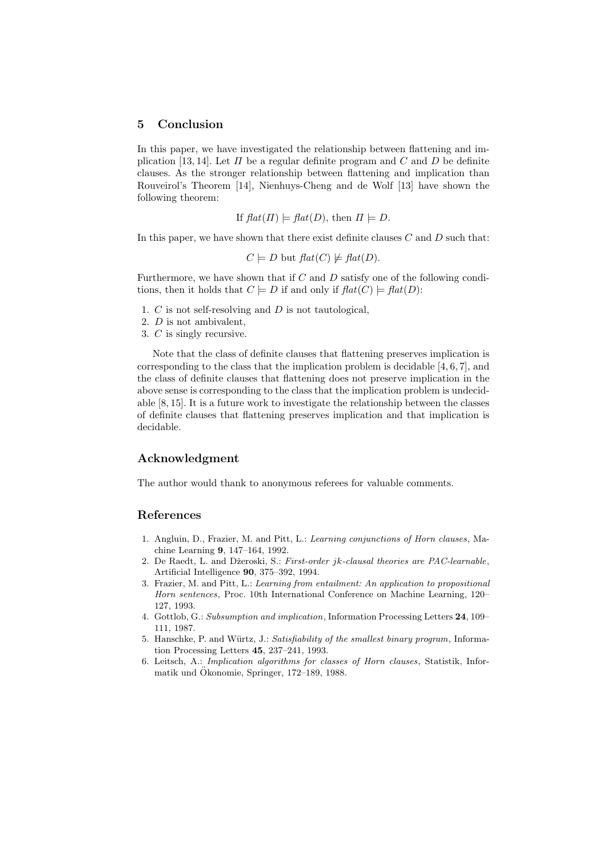# **5 Conclusion**

In this paper, we have investigated the relationship between flattening and implication [13, 14]. Let  $\Pi$  be a regular definite program and  $C$  and  $D$  be definite clauses. As the stronger relationship between flattening and implication than Rouveirol's Theorem [14], Nienhuys-Cheng and de Wolf [13] have shown the following theorem:

If 
$$
flat(\Pi) \models flat(D)
$$
, then  $\Pi \models D$ .

In this paper, we have shown that there exist definite clauses  $C$  and  $D$  such that:

$$
C \models D
$$
 but  $flat(C) \not\models flat(D)$ .

Furthermore, we have shown that if  $C$  and  $D$  satisfy one of the following conditions, then it holds that  $C \models D$  if and only if  $flat(C) \models flat(D)$ :

- 1.  $C$  is not self-resolving and  $D$  is not tautological,
- 2. D is not ambivalent,
- 3. C is singly recursive.

Note that the class of definite clauses that flattening preserves implication is corresponding to the class that the implication problem is decidable [4, 6, 7], and the class of definite clauses that flattening does not preserve implication in the above sense is corresponding to the class that the implication problem is undecidable [8, 15]. It is a future work to investigate the relationship between the classes of definite clauses that flattening preserves implication and that implication is decidable.

### **Acknowledgment**

The author would thank to anonymous referees for valuable comments.

#### **References**

- 1. Angluin, D., Frazier, M. and Pitt, L.: *Learning conjunctions of Horn clauses*, Machine Learning **9**, 147–164, 1992.
- 2. De Raedt, L. and Dˇzeroski, S.: *First-order* jk*-clausal theories are PAC-learnable*, Artificial Intelligence **90**, 375–392, 1994.
- 3. Frazier, M. and Pitt, L.: *Learning from entailment: An application to propositional Horn sentences*, Proc. 10th International Conference on Machine Learning, 120– 127, 1993.
- 4. Gottlob, G.: *Subsumption and implication*, Information Processing Letters **24**, 109– 111, 1987.
- 5. Hanschke, P. and Würtz, J.: *Satisfiability of the smallest binary program*, Information Processing Letters **45**, 237–241, 1993.
- 6. Leitsch, A.: *Implication algorithms for classes of Horn clauses*, Statistik, Informatik und Ökonomie, Springer, 172–189, 1988.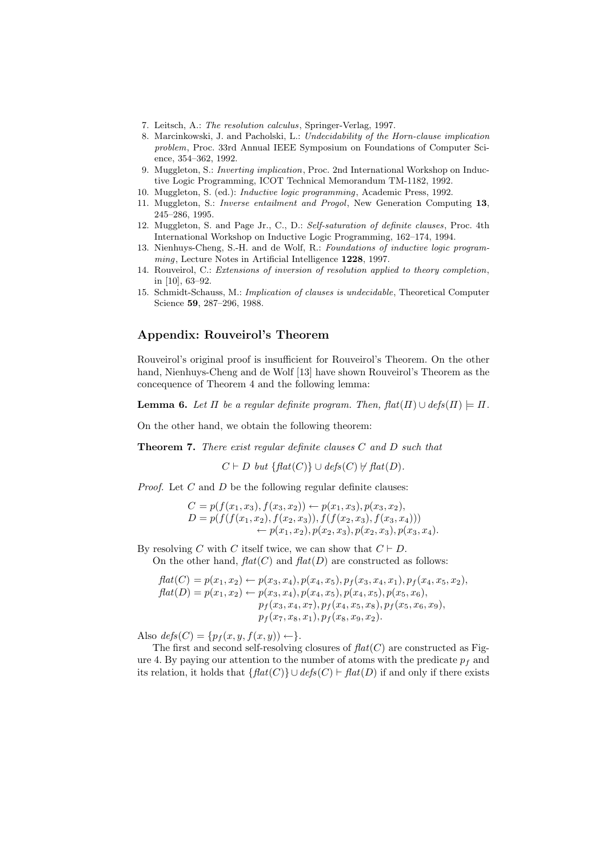- 7. Leitsch, A.: *The resolution calculus*, Springer-Verlag, 1997.
- 8. Marcinkowski, J. and Pacholski, L.: *Undecidability of the Horn-clause implication problem*, Proc. 33rd Annual IEEE Symposium on Foundations of Computer Science, 354–362, 1992.
- 9. Muggleton, S.: *Inverting implication*, Proc. 2nd International Workshop on Inductive Logic Programming, ICOT Technical Memorandum TM-1182, 1992.
- 10. Muggleton, S. (ed.): *Inductive logic programming*, Academic Press, 1992.
- 11. Muggleton, S.: *Inverse entailment and Progol*, New Generation Computing **13**, 245–286, 1995.
- 12. Muggleton, S. and Page Jr., C., D.: *Self-saturation of definite clauses*, Proc. 4th International Workshop on Inductive Logic Programming, 162–174, 1994.
- 13. Nienhuys-Cheng, S.-H. and de Wolf, R.: *Foundations of inductive logic programming*, Lecture Notes in Artificial Intelligence **1228**, 1997.
- 14. Rouveirol, C.: *Extensions of inversion of resolution applied to theory completion*, in [10], 63–92.
- 15. Schmidt-Schauss, M.: *Implication of clauses is undecidable*, Theoretical Computer Science **59**, 287–296, 1988.

## **Appendix: Rouveirol's Theorem**

Rouveirol's original proof is insufficient for Rouveirol's Theorem. On the other hand, Nienhuys-Cheng and de Wolf [13] have shown Rouveirol's Theorem as the concequence of Theorem 4 and the following lemma:

**Lemma 6.** Let  $\Pi$  be a regular definite program. Then,  $\text{flat}(\Pi) \cup \text{defs}(\Pi) \models \Pi$ .

On the other hand, we obtain the following theorem:

**Theorem 7.** *There exist regular definite clauses* C *and* D *such that*

 $C \vdash D$  *but*  $\{ \text{flat}(C) \} \cup \text{defs}(C) \not\vdash \text{flat}(D)$ .

*Proof.* Let C and D be the following regular definite clauses:

$$
C = p(f(x_1, x_3), f(x_3, x_2)) \leftarrow p(x_1, x_3), p(x_3, x_2),
$$
  
\n
$$
D = p(f(f(x_1, x_2), f(x_2, x_3)), f(f(x_2, x_3), f(x_3, x_4)))
$$
  
\n
$$
\leftarrow p(x_1, x_2), p(x_2, x_3), p(x_2, x_3), p(x_3, x_4).
$$

By resolving C with C itself twice, we can show that  $C \vdash D$ . On the other hand,  $flat(C)$  and  $flat(D)$  are constructed as follows:

$$
flat(C) = p(x_1, x_2) \leftarrow p(x_3, x_4), p(x_4, x_5), p_f(x_3, x_4, x_1), p_f(x_4, x_5, x_2),
$$
  
\n
$$
flat(D) = p(x_1, x_2) \leftarrow p(x_3, x_4), p(x_4, x_5), p(x_4, x_5), p(x_5, x_6),
$$
  
\n
$$
p_f(x_3, x_4, x_7), p_f(x_4, x_5, x_8), p_f(x_5, x_6, x_9),
$$
  
\n
$$
p_f(x_7, x_8, x_1), p_f(x_8, x_9, x_2).
$$

Also  $defs(C) = {p_f(x, y, f(x, y)) \leftarrow}.$ 

The first and second self-resolving closures of  $flat(C)$  are constructed as Figure 4. By paying our attention to the number of atoms with the predicate  $p_f$  and its relation, it holds that  $\{ flat(C) \} \cup defs(C) \vdash flat(D)$  if and only if there exists